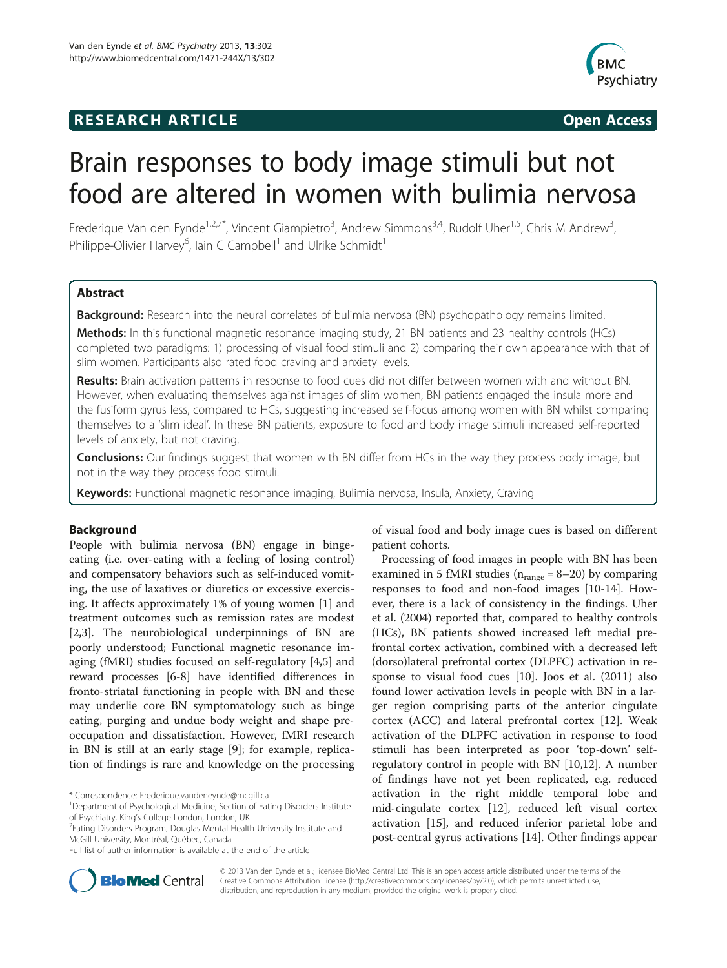## **RESEARCH ARTICLE Example 2014 CONSIDERING CONSIDERING CONSIDERING CONSIDERING CONSIDERING CONSIDERING CONSIDERING CONSIDERING CONSIDERING CONSIDERING CONSIDERING CONSIDERING CONSIDERING CONSIDERING CONSIDERING CONSIDE**



# Brain responses to body image stimuli but not food are altered in women with bulimia nervosa

Frederique Van den Eynde<sup>1,2,7\*</sup>, Vincent Giampietro<sup>3</sup>, Andrew Simmons<sup>3,4</sup>, Rudolf Uher<sup>1,5</sup>, Chris M Andrew<sup>3</sup> , Philippe-Olivier Harvey<sup>6</sup>, lain C Campbell<sup>1</sup> and Ulrike Schmidt<sup>1</sup>

## **Abstract**

Background: Research into the neural correlates of bulimia nervosa (BN) psychopathology remains limited.

Methods: In this functional magnetic resonance imaging study, 21 BN patients and 23 healthy controls (HCs) completed two paradigms: 1) processing of visual food stimuli and 2) comparing their own appearance with that of slim women. Participants also rated food craving and anxiety levels.

Results: Brain activation patterns in response to food cues did not differ between women with and without BN. However, when evaluating themselves against images of slim women, BN patients engaged the insula more and the fusiform gyrus less, compared to HCs, suggesting increased self-focus among women with BN whilst comparing themselves to a 'slim ideal'. In these BN patients, exposure to food and body image stimuli increased self-reported levels of anxiety, but not craving.

Conclusions: Our findings suggest that women with BN differ from HCs in the way they process body image, but not in the way they process food stimuli.

Keywords: Functional magnetic resonance imaging, Bulimia nervosa, Insula, Anxiety, Craving

## Background

People with bulimia nervosa (BN) engage in bingeeating (i.e. over-eating with a feeling of losing control) and compensatory behaviors such as self-induced vomiting, the use of laxatives or diuretics or excessive exercising. It affects approximately 1% of young women [\[1](#page-11-0)] and treatment outcomes such as remission rates are modest [[2,3\]](#page-11-0). The neurobiological underpinnings of BN are poorly understood; Functional magnetic resonance imaging (fMRI) studies focused on self-regulatory [\[4,5](#page-11-0)] and reward processes [\[6](#page-11-0)-[8\]](#page-11-0) have identified differences in fronto-striatal functioning in people with BN and these may underlie core BN symptomatology such as binge eating, purging and undue body weight and shape preoccupation and dissatisfaction. However, fMRI research in BN is still at an early stage [\[9](#page-11-0)]; for example, replication of findings is rare and knowledge on the processing of visual food and body image cues is based on different patient cohorts.

Processing of food images in people with BN has been examined in 5 fMRI studies ( $n<sub>range</sub> = 8–20$ ) by comparing responses to food and non-food images [\[10](#page-11-0)-[14\]](#page-11-0). However, there is a lack of consistency in the findings. Uher et al. (2004) reported that, compared to healthy controls (HCs), BN patients showed increased left medial prefrontal cortex activation, combined with a decreased left (dorso)lateral prefrontal cortex (DLPFC) activation in response to visual food cues [[10](#page-11-0)]. Joos et al. (2011) also found lower activation levels in people with BN in a larger region comprising parts of the anterior cingulate cortex (ACC) and lateral prefrontal cortex [\[12\]](#page-11-0). Weak activation of the DLPFC activation in response to food stimuli has been interpreted as poor 'top-down' selfregulatory control in people with BN [[10,12](#page-11-0)]. A number of findings have not yet been replicated, e.g. reduced activation in the right middle temporal lobe and mid-cingulate cortex [\[12\]](#page-11-0), reduced left visual cortex activation [[15](#page-11-0)], and reduced inferior parietal lobe and post-central gyrus activations [[14](#page-11-0)]. Other findings appear



© 2013 Van den Eynde et al.; licensee BioMed Central Ltd. This is an open access article distributed under the terms of the Creative Commons Attribution License (<http://creativecommons.org/licenses/by/2.0>), which permits unrestricted use, distribution, and reproduction in any medium, provided the original work is properly cited.

<sup>\*</sup> Correspondence: [Frederique.vandeneynde@mcgill.ca](mailto:Frederique.vandeneynde@mcgill.ca) <sup>1</sup>

<sup>&</sup>lt;sup>1</sup>Department of Psychological Medicine, Section of Eating Disorders Institute of Psychiatry, King's College London, London, UK <sup>2</sup>

<sup>&</sup>lt;sup>2</sup>Eating Disorders Program, Douglas Mental Health University Institute and McGill University, Montréal, Québec, Canada

Full list of author information is available at the end of the article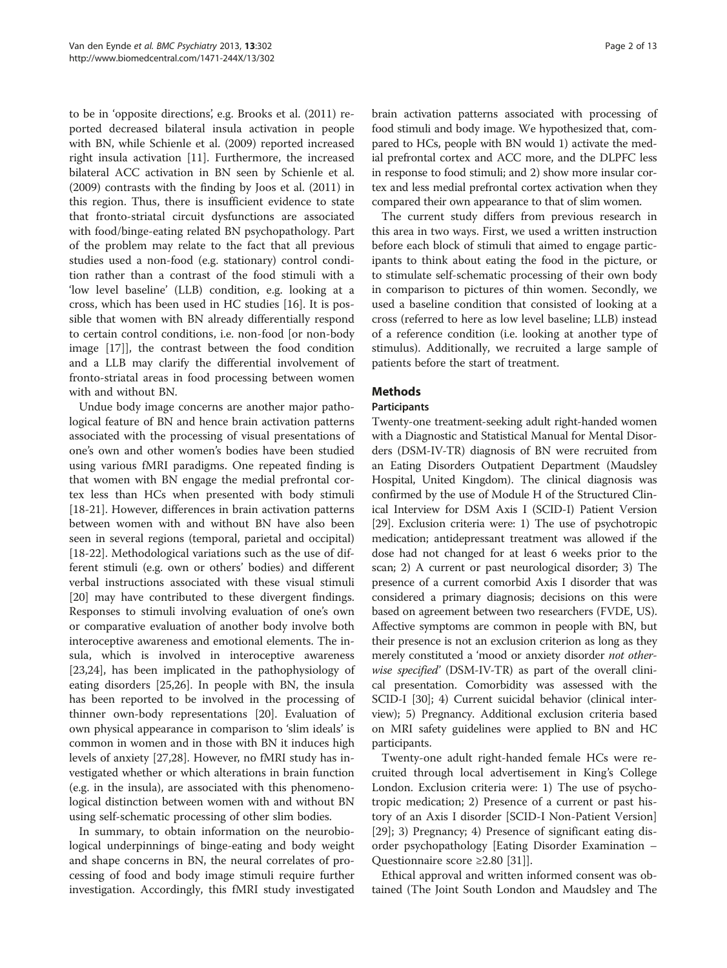to be in 'opposite directions', e.g. Brooks et al. (2011) reported decreased bilateral insula activation in people with BN, while Schienle et al. (2009) reported increased right insula activation [\[11](#page-11-0)]. Furthermore, the increased bilateral ACC activation in BN seen by Schienle et al. (2009) contrasts with the finding by Joos et al. (2011) in this region. Thus, there is insufficient evidence to state that fronto-striatal circuit dysfunctions are associated with food/binge-eating related BN psychopathology. Part of the problem may relate to the fact that all previous studies used a non-food (e.g. stationary) control condition rather than a contrast of the food stimuli with a 'low level baseline' (LLB) condition, e.g. looking at a cross, which has been used in HC studies [\[16](#page-11-0)]. It is possible that women with BN already differentially respond to certain control conditions, i.e. non-food [or non-body image [[17](#page-11-0)]], the contrast between the food condition and a LLB may clarify the differential involvement of fronto-striatal areas in food processing between women with and without BN.

Undue body image concerns are another major pathological feature of BN and hence brain activation patterns associated with the processing of visual presentations of one's own and other women's bodies have been studied using various fMRI paradigms. One repeated finding is that women with BN engage the medial prefrontal cortex less than HCs when presented with body stimuli [[18-21](#page-11-0)]. However, differences in brain activation patterns between women with and without BN have also been seen in several regions (temporal, parietal and occipital) [[18-22](#page-11-0)]. Methodological variations such as the use of different stimuli (e.g. own or others' bodies) and different verbal instructions associated with these visual stimuli [[20\]](#page-11-0) may have contributed to these divergent findings. Responses to stimuli involving evaluation of one's own or comparative evaluation of another body involve both interoceptive awareness and emotional elements. The insula, which is involved in interoceptive awareness [[23,24\]](#page-11-0), has been implicated in the pathophysiology of eating disorders [[25,26\]](#page-11-0). In people with BN, the insula has been reported to be involved in the processing of thinner own-body representations [\[20\]](#page-11-0). Evaluation of own physical appearance in comparison to 'slim ideals' is common in women and in those with BN it induces high levels of anxiety [\[27,28](#page-11-0)]. However, no fMRI study has investigated whether or which alterations in brain function (e.g. in the insula), are associated with this phenomenological distinction between women with and without BN using self-schematic processing of other slim bodies.

In summary, to obtain information on the neurobiological underpinnings of binge-eating and body weight and shape concerns in BN, the neural correlates of processing of food and body image stimuli require further investigation. Accordingly, this fMRI study investigated brain activation patterns associated with processing of food stimuli and body image. We hypothesized that, compared to HCs, people with BN would 1) activate the medial prefrontal cortex and ACC more, and the DLPFC less in response to food stimuli; and 2) show more insular cortex and less medial prefrontal cortex activation when they compared their own appearance to that of slim women.

The current study differs from previous research in this area in two ways. First, we used a written instruction before each block of stimuli that aimed to engage participants to think about eating the food in the picture, or to stimulate self-schematic processing of their own body in comparison to pictures of thin women. Secondly, we used a baseline condition that consisted of looking at a cross (referred to here as low level baseline; LLB) instead of a reference condition (i.e. looking at another type of stimulus). Additionally, we recruited a large sample of patients before the start of treatment.

## **Methods**

## **Participants**

Twenty-one treatment-seeking adult right-handed women with a Diagnostic and Statistical Manual for Mental Disorders (DSM-IV-TR) diagnosis of BN were recruited from an Eating Disorders Outpatient Department (Maudsley Hospital, United Kingdom). The clinical diagnosis was confirmed by the use of Module H of the Structured Clinical Interview for DSM Axis I (SCID-I) Patient Version [[29](#page-11-0)]. Exclusion criteria were: 1) The use of psychotropic medication; antidepressant treatment was allowed if the dose had not changed for at least 6 weeks prior to the scan; 2) A current or past neurological disorder; 3) The presence of a current comorbid Axis I disorder that was considered a primary diagnosis; decisions on this were based on agreement between two researchers (FVDE, US). Affective symptoms are common in people with BN, but their presence is not an exclusion criterion as long as they merely constituted a 'mood or anxiety disorder not otherwise specified' (DSM-IV-TR) as part of the overall clinical presentation. Comorbidity was assessed with the SCID-I [[30](#page-11-0)]; 4) Current suicidal behavior (clinical interview); 5) Pregnancy. Additional exclusion criteria based on MRI safety guidelines were applied to BN and HC participants.

Twenty-one adult right-handed female HCs were recruited through local advertisement in King's College London. Exclusion criteria were: 1) The use of psychotropic medication; 2) Presence of a current or past history of an Axis I disorder [SCID-I Non-Patient Version] [[29\]](#page-11-0); 3) Pregnancy; 4) Presence of significant eating disorder psychopathology [Eating Disorder Examination – Questionnaire score ≥2.80 [\[31](#page-11-0)]].

Ethical approval and written informed consent was obtained (The Joint South London and Maudsley and The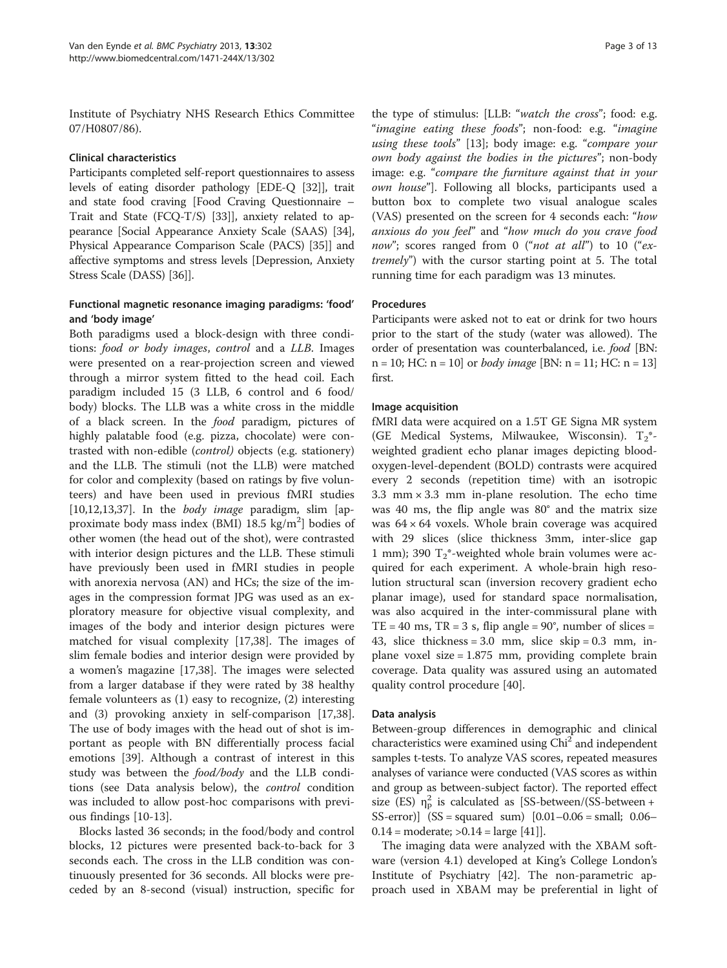Institute of Psychiatry NHS Research Ethics Committee 07/H0807/86).

## Clinical characteristics

Participants completed self-report questionnaires to assess levels of eating disorder pathology [EDE-Q [[32](#page-11-0)]], trait and state food craving [Food Craving Questionnaire – Trait and State (FCQ-T/S) [[33](#page-11-0)]], anxiety related to appearance [Social Appearance Anxiety Scale (SAAS) [[34](#page-11-0)], Physical Appearance Comparison Scale (PACS) [\[35\]](#page-11-0)] and affective symptoms and stress levels [Depression, Anxiety Stress Scale (DASS) [\[36\]](#page-11-0)].

## Functional magnetic resonance imaging paradigms: 'food' and 'body image'

Both paradigms used a block-design with three conditions: food or body images, control and a LLB. Images were presented on a rear-projection screen and viewed through a mirror system fitted to the head coil. Each paradigm included 15 (3 LLB, 6 control and 6 food/ body) blocks. The LLB was a white cross in the middle of a black screen. In the food paradigm, pictures of highly palatable food (e.g. pizza, chocolate) were contrasted with non-edible (control) objects (e.g. stationery) and the LLB. The stimuli (not the LLB) were matched for color and complexity (based on ratings by five volunteers) and have been used in previous fMRI studies  $[10,12,13,37]$  $[10,12,13,37]$ . In the *body image* paradigm, slim  $[ap$ proximate body mass index (BMI) 18.5 kg/m<sup>2</sup>] bodies of other women (the head out of the shot), were contrasted with interior design pictures and the LLB. These stimuli have previously been used in fMRI studies in people with anorexia nervosa (AN) and HCs; the size of the images in the compression format JPG was used as an exploratory measure for objective visual complexity, and images of the body and interior design pictures were matched for visual complexity [[17](#page-11-0),[38](#page-12-0)]. The images of slim female bodies and interior design were provided by a women's magazine [\[17](#page-11-0)[,38](#page-12-0)]. The images were selected from a larger database if they were rated by 38 healthy female volunteers as (1) easy to recognize, (2) interesting and (3) provoking anxiety in self-comparison [\[17](#page-11-0)[,38](#page-12-0)]. The use of body images with the head out of shot is important as people with BN differentially process facial emotions [[39](#page-12-0)]. Although a contrast of interest in this study was between the *food/body* and the LLB conditions (see Data analysis below), the control condition was included to allow post-hoc comparisons with previous findings [\[10](#page-11-0)-[13\]](#page-11-0).

Blocks lasted 36 seconds; in the food/body and control blocks, 12 pictures were presented back-to-back for 3 seconds each. The cross in the LLB condition was continuously presented for 36 seconds. All blocks were preceded by an 8-second (visual) instruction, specific for

the type of stimulus: [LLB: "watch the cross"; food: e.g. "imagine eating these foods"; non-food: e.g. "imagine using these tools" [[13\]](#page-11-0); body image: e.g. "compare your own body against the bodies in the pictures"; non-body image: e.g. "compare the furniture against that in your own house"]. Following all blocks, participants used a button box to complete two visual analogue scales (VAS) presented on the screen for 4 seconds each: "how anxious do you feel" and "how much do you crave food now"; scores ranged from 0 ("not at all") to 10 ("extremely") with the cursor starting point at 5. The total running time for each paradigm was 13 minutes.

## Procedures

Participants were asked not to eat or drink for two hours prior to the start of the study (water was allowed). The order of presentation was counterbalanced, i.e. food [BN:  $n = 10$ ; HC:  $n = 10$  or *body image* [BN:  $n = 11$ ; HC:  $n = 13$ ] first.

## Image acquisition

fMRI data were acquired on a 1.5T GE Signa MR system (GE Medical Systems, Milwaukee, Wisconsin).  $T_2^*$ weighted gradient echo planar images depicting bloodoxygen-level-dependent (BOLD) contrasts were acquired every 2 seconds (repetition time) with an isotropic 3.3 mm  $\times$  3.3 mm in-plane resolution. The echo time was 40 ms, the flip angle was 80° and the matrix size was  $64 \times 64$  voxels. Whole brain coverage was acquired with 29 slices (slice thickness 3mm, inter-slice gap 1 mm); 390  $T_2^*$ -weighted whole brain volumes were acquired for each experiment. A whole-brain high resolution structural scan (inversion recovery gradient echo planar image), used for standard space normalisation, was also acquired in the inter-commissural plane with TE = 40 ms,  $TR = 3$  s, flip angle =  $90^{\circ}$ , number of slices = 43, slice thickness = 3.0 mm, slice skip = 0.3 mm, inplane voxel size = 1.875 mm, providing complete brain coverage. Data quality was assured using an automated quality control procedure [\[40](#page-12-0)].

## Data analysis

Between-group differences in demographic and clinical characteristics were examined using Chi<sup>2</sup> and independent samples t-tests. To analyze VAS scores, repeated measures analyses of variance were conducted (VAS scores as within and group as between-subject factor). The reported effect size (ES)  $\eta_p^2$  is calculated as [SS-between/(SS-between + SS-error)]  $(SS = squared sum)$   $[0.01 - 0.06 = small; 0.06 0.14$  = moderate;  $>0.14$  = large [\[41](#page-12-0)]].

The imaging data were analyzed with the XBAM software (version 4.1) developed at King's College London's Institute of Psychiatry [\[42\]](#page-12-0). The non-parametric approach used in XBAM may be preferential in light of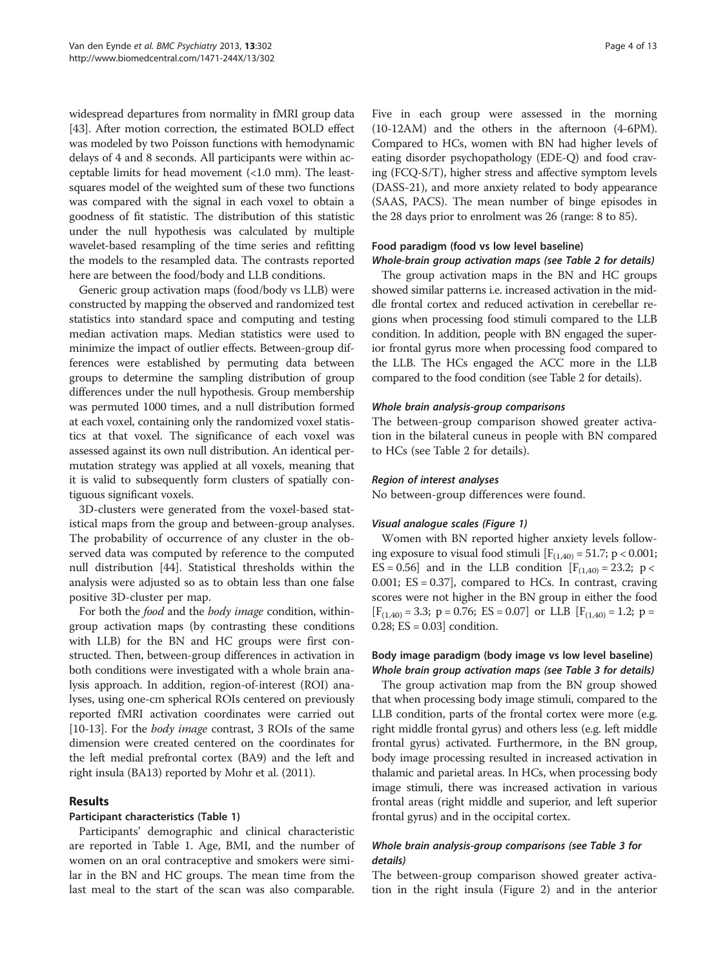widespread departures from normality in fMRI group data [[43](#page-12-0)]. After motion correction, the estimated BOLD effect was modeled by two Poisson functions with hemodynamic delays of 4 and 8 seconds. All participants were within acceptable limits for head movement (<1.0 mm). The leastsquares model of the weighted sum of these two functions was compared with the signal in each voxel to obtain a goodness of fit statistic. The distribution of this statistic under the null hypothesis was calculated by multiple wavelet-based resampling of the time series and refitting the models to the resampled data. The contrasts reported here are between the food/body and LLB conditions.

Generic group activation maps (food/body vs LLB) were constructed by mapping the observed and randomized test statistics into standard space and computing and testing median activation maps. Median statistics were used to minimize the impact of outlier effects. Between-group differences were established by permuting data between groups to determine the sampling distribution of group differences under the null hypothesis. Group membership was permuted 1000 times, and a null distribution formed at each voxel, containing only the randomized voxel statistics at that voxel. The significance of each voxel was assessed against its own null distribution. An identical permutation strategy was applied at all voxels, meaning that it is valid to subsequently form clusters of spatially contiguous significant voxels.

3D-clusters were generated from the voxel-based statistical maps from the group and between-group analyses. The probability of occurrence of any cluster in the observed data was computed by reference to the computed null distribution [[44\]](#page-12-0). Statistical thresholds within the analysis were adjusted so as to obtain less than one false positive 3D-cluster per map.

For both the food and the body image condition, withingroup activation maps (by contrasting these conditions with LLB) for the BN and HC groups were first constructed. Then, between-group differences in activation in both conditions were investigated with a whole brain analysis approach. In addition, region-of-interest (ROI) analyses, using one-cm spherical ROIs centered on previously reported fMRI activation coordinates were carried out [[10](#page-11-0)-[13](#page-11-0)]. For the *body image* contrast, 3 ROIs of the same dimension were created centered on the coordinates for the left medial prefrontal cortex (BA9) and the left and right insula (BA13) reported by Mohr et al. (2011).

## Results

## Participant characteristics (Table [1](#page-4-0))

Participants' demographic and clinical characteristic are reported in Table [1](#page-4-0). Age, BMI, and the number of women on an oral contraceptive and smokers were similar in the BN and HC groups. The mean time from the last meal to the start of the scan was also comparable. Five in each group were assessed in the morning (10-12AM) and the others in the afternoon (4-6PM). Compared to HCs, women with BN had higher levels of eating disorder psychopathology (EDE-Q) and food craving (FCQ-S/T), higher stress and affective symptom levels (DASS-21), and more anxiety related to body appearance (SAAS, PACS). The mean number of binge episodes in the 28 days prior to enrolment was 26 (range: 8 to 85).

## Food paradigm (food vs low level baseline)

Whole-brain group activation maps (see Table [2](#page-5-0) for details) The group activation maps in the BN and HC groups showed similar patterns i.e. increased activation in the middle frontal cortex and reduced activation in cerebellar regions when processing food stimuli compared to the LLB condition. In addition, people with BN engaged the superior frontal gyrus more when processing food compared to the LLB. The HCs engaged the ACC more in the LLB compared to the food condition (see Table [2](#page-5-0) for details).

## Whole brain analysis-group comparisons

The between-group comparison showed greater activation in the bilateral cuneus in people with BN compared to HCs (see Table [2](#page-5-0) for details).

#### Region of interest analyses

No between-group differences were found.

#### Visual analogue scales (Figure [1](#page-5-0))

Women with BN reported higher anxiety levels following exposure to visual food stimuli  $[F(1,40) = 51.7; p < 0.001;$ ES = 0.56] and in the LLB condition  $[F_{(1,40)} = 23.2; p <$ 0.001;  $ES = 0.37$ , compared to HCs. In contrast, craving scores were not higher in the BN group in either the food  $[F_{(1,40)} = 3.3; p = 0.76; ES = 0.07]$  or LLB  $[F_{(1,40)} = 1.2; p =$ 0.28; ES = 0.03] condition.

## Body image paradigm (body image vs low level baseline) Whole brain group activation maps (see Table [3](#page-6-0) for details)

The group activation map from the BN group showed that when processing body image stimuli, compared to the LLB condition, parts of the frontal cortex were more (e.g. right middle frontal gyrus) and others less (e.g. left middle frontal gyrus) activated. Furthermore, in the BN group, body image processing resulted in increased activation in thalamic and parietal areas. In HCs, when processing body image stimuli, there was increased activation in various frontal areas (right middle and superior, and left superior frontal gyrus) and in the occipital cortex.

## Whole brain analysis-group comparisons (see Table [3](#page-6-0) for details)

The between-group comparison showed greater activation in the right insula (Figure [2\)](#page-6-0) and in the anterior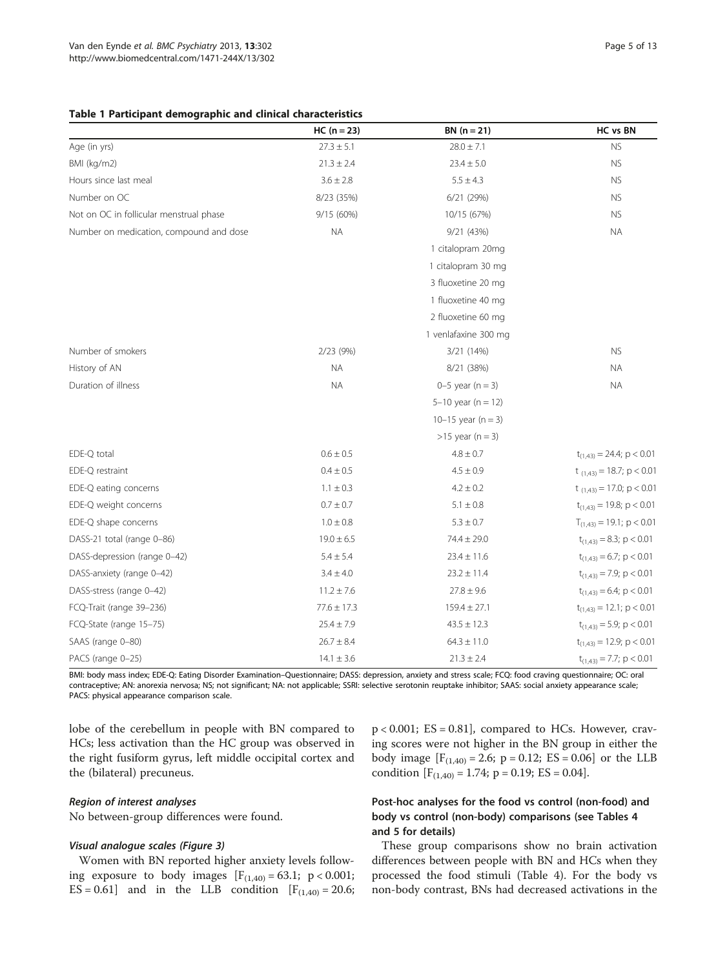#### <span id="page-4-0"></span>Table 1 Participant demographic and clinical characteristics

|                                         | $HC (n = 23)$   | $BN (n = 21)$          | HC vs BN                         |
|-----------------------------------------|-----------------|------------------------|----------------------------------|
| Age (in yrs)                            | $27.3 \pm 5.1$  | $28.0 \pm 7.1$         | <b>NS</b>                        |
| BMI (kg/m2)                             | $21.3 \pm 2.4$  | $23.4 \pm 5.0$         | <b>NS</b>                        |
| Hours since last meal                   | $3.6 \pm 2.8$   | $5.5 \pm 4.3$          | <b>NS</b>                        |
| Number on OC                            | 8/23 (35%)      | 6/21 (29%)             | <b>NS</b>                        |
| Not on OC in follicular menstrual phase | 9/15 (60%)      | 10/15 (67%)            | <b>NS</b>                        |
| Number on medication, compound and dose | <b>NA</b>       | 9/21 (43%)             | <b>NA</b>                        |
|                                         |                 | 1 citalopram 20mg      |                                  |
|                                         |                 | 1 citalopram 30 mg     |                                  |
|                                         |                 | 3 fluoxetine 20 mg     |                                  |
|                                         |                 | 1 fluoxetine 40 mg     |                                  |
|                                         |                 | 2 fluoxetine 60 mg     |                                  |
|                                         |                 | 1 venlafaxine 300 mg   |                                  |
| Number of smokers                       | 2/23(9%)        | 3/21 (14%)             | <b>NS</b>                        |
| History of AN                           | <b>NA</b>       | 8/21 (38%)             | <b>NA</b>                        |
| Duration of illness                     | <b>NA</b>       | 0–5 year ( $n = 3$ )   | <b>NA</b>                        |
|                                         |                 | 5-10 year ( $n = 12$ ) |                                  |
|                                         |                 | 10-15 year $(n = 3)$   |                                  |
|                                         |                 | $>15$ year (n = 3)     |                                  |
| EDE-Q total                             | $0.6 \pm 0.5$   | $4.8 \pm 0.7$          | $t_{(1,43)} = 24.4$ ; $p < 0.01$ |
| EDE-Q restraint                         | $0.4 \pm 0.5$   | $4.5 \pm 0.9$          | t $_{(1,43)}$ = 18.7; p < 0.01   |
| EDE-Q eating concerns                   | $1.1 \pm 0.3$   | $4.2 \pm 0.2$          | t $_{(1,43)} = 17.0$ ; p < 0.01  |
| EDE-Q weight concerns                   | $0.7 \pm 0.7$   | $5.1 \pm 0.8$          | $t_{(1,43)} = 19.8; p < 0.01$    |
| EDE-Q shape concerns                    | $1.0 \pm 0.8$   | $5.3 \pm 0.7$          | $T_{(1,43)} = 19.1; p < 0.01$    |
| DASS-21 total (range 0-86)              | $19.0 \pm 6.5$  | $74.4 \pm 29.0$        | $t_{(1,43)} = 8.3$ ; p < 0.01    |
| DASS-depression (range 0-42)            | $5.4 \pm 5.4$   | $23.4 \pm 11.6$        | $t_{(1,43)} = 6.7$ ; p < 0.01    |
| DASS-anxiety (range 0-42)               | $3.4 \pm 4.0$   | $23.2 \pm 11.4$        | $t_{(1,43)} = 7.9$ ; p < 0.01    |
| DASS-stress (range 0-42)                | $11.2 \pm 7.6$  | $27.8 \pm 9.6$         | $t_{(1,43)} = 6.4; p < 0.01$     |
| FCQ-Trait (range 39-236)                | $77.6 \pm 17.3$ | $159.4 \pm 27.1$       | $t_{(1,43)} = 12.1$ ; $p < 0.01$ |
| FCQ-State (range 15-75)                 | $25.4 \pm 7.9$  | $43.5 \pm 12.3$        | $t_{(1,43)} = 5.9; p < 0.01$     |
| SAAS (range 0-80)                       | $26.7 \pm 8.4$  | $64.3 \pm 11.0$        | $t_{(1,43)} = 12.9$ ; p < 0.01   |
| PACS (range 0-25)                       | $14.1 \pm 3.6$  | $21.3 \pm 2.4$         | $t_{(1,43)} = 7.7$ ; p < 0.01    |

BMI: body mass index; EDE-Q: Eating Disorder Examination–Questionnaire; DASS: depression, anxiety and stress scale; FCQ: food craving questionnaire; OC: oral contraceptive; AN: anorexia nervosa; NS; not significant; NA: not applicable; SSRI: selective serotonin reuptake inhibitor; SAAS: social anxiety appearance scale; PACS: physical appearance comparison scale.

lobe of the cerebellum in people with BN compared to HCs; less activation than the HC group was observed in the right fusiform gyrus, left middle occipital cortex and the (bilateral) precuneus.

#### Region of interest analyses

No between-group differences were found.

## Visual analogue scales (Figure [3](#page-7-0))

Women with BN reported higher anxiety levels following exposure to body images  $[F_{(1,40)} = 63.1; p < 0.001;$  $ES = 0.61$ ] and in the LLB condition  $[F_{(1,40)} = 20.6;$ 

 $p < 0.001$ ; ES = 0.81], compared to HCs. However, craving scores were not higher in the BN group in either the body image  $[F_{(1,40)} = 2.6; p = 0.12; ES = 0.06]$  or the LLB condition  $[F_{(1,40)} = 1.74; p = 0.19; ES = 0.04].$ 

## Post-hoc analyses for the food vs control (non-food) and body vs control (non-body) comparisons (see Tables [4](#page-8-0) and [5](#page-9-0) for details)

These group comparisons show no brain activation differences between people with BN and HCs when they processed the food stimuli (Table [4\)](#page-8-0). For the body vs non-body contrast, BNs had decreased activations in the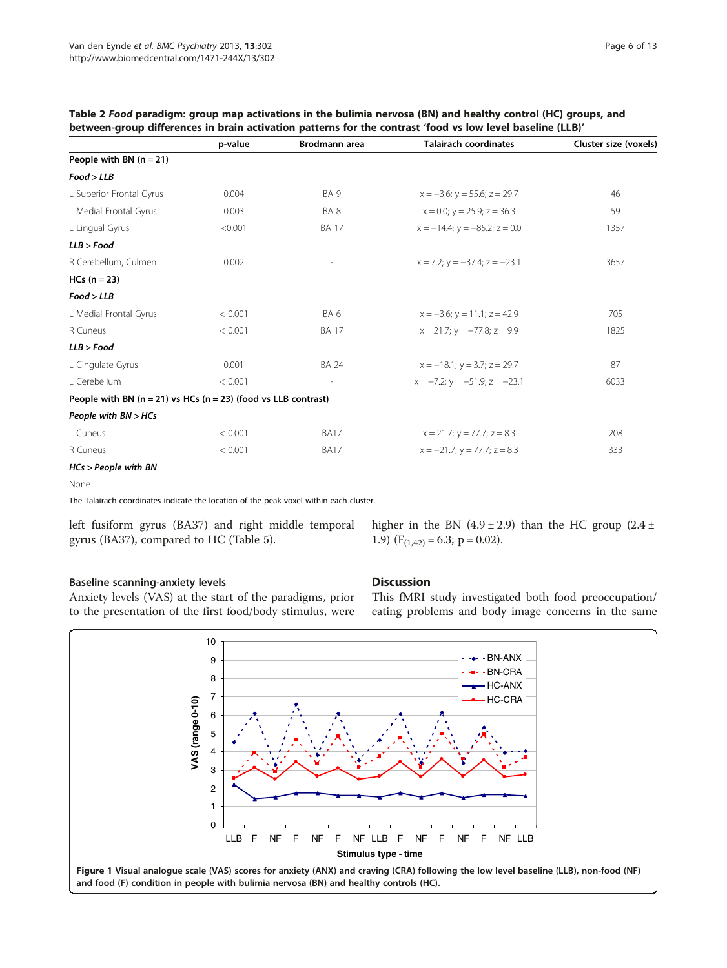|                                                                    | p-value | Brodmann area   | <b>Talairach coordinates</b>           | Cluster size (voxels) |
|--------------------------------------------------------------------|---------|-----------------|----------------------------------------|-----------------------|
| People with BN $(n = 21)$                                          |         |                 |                                        |                       |
| Food > LLB                                                         |         |                 |                                        |                       |
| L Superior Frontal Gyrus                                           | 0.004   | BA <sub>9</sub> | $x = -3.6$ ; $y = 55.6$ ; $z = 29.7$   | 46                    |
| L Medial Frontal Gyrus                                             | 0.003   | BA8             | $x = 0.0$ ; $y = 25.9$ ; $z = 36.3$    | 59                    |
| L Lingual Gyrus                                                    | < 0.001 | <b>BA17</b>     | $x = -14.4$ ; $y = -85.2$ ; $z = 0.0$  | 1357                  |
| LLB > Food                                                         |         |                 |                                        |                       |
| R Cerebellum, Culmen                                               | 0.002   |                 | $x = 7.2$ ; $y = -37.4$ ; $z = -23.1$  | 3657                  |
| $HCs (n = 23)$                                                     |         |                 |                                        |                       |
| Food > LLB                                                         |         |                 |                                        |                       |
| L Medial Frontal Gyrus                                             | < 0.001 | BA <sub>6</sub> | $x = -3.6$ ; $y = 11.1$ ; $z = 42.9$   | 705                   |
| R Cuneus                                                           | < 0.001 | <b>BA17</b>     | $x = 21.7$ ; $y = -77.8$ ; $z = 9.9$   | 1825                  |
| LLB > Food                                                         |         |                 |                                        |                       |
| L Cingulate Gyrus                                                  | 0.001   | <b>BA 24</b>    | $x = -18.1$ ; $y = 3.7$ ; $z = 29.7$   | 87                    |
| L Cerebellum                                                       | < 0.001 |                 | $x = -7.2$ ; $y = -51.9$ ; $z = -23.1$ | 6033                  |
| People with BN $(n = 21)$ vs HCs $(n = 23)$ (food vs LLB contrast) |         |                 |                                        |                       |
| People with BN > HCs                                               |         |                 |                                        |                       |
| L Cuneus                                                           | < 0.001 | <b>BA17</b>     | $x = 21.7$ ; $y = 77.7$ ; $z = 8.3$    | 208                   |
| R Cuneus                                                           | < 0.001 | <b>BA17</b>     | $x = -21.7$ ; $y = 77.7$ ; $z = 8.3$   | 333                   |
| HCs > People with BN                                               |         |                 |                                        |                       |
| None                                                               |         |                 |                                        |                       |

## <span id="page-5-0"></span>Table 2 Food paradigm: group map activations in the bulimia nervosa (BN) and healthy control (HC) groups, and between-group differences in brain activation patterns for the contrast 'food vs low level baseline (LLB)'

The Talairach coordinates indicate the location of the peak voxel within each cluster.

left fusiform gyrus (BA37) and right middle temporal gyrus (BA37), compared to HC (Table [5\)](#page-9-0).

Baseline scanning-anxiety levels

Anxiety levels (VAS) at the start of the paradigms, prior to the presentation of the first food/body stimulus, were

## **Discussion**

1.9)  $(F<sub>(1,42)</sub> = 6.3; p = 0.02)$ .

This fMRI study investigated both food preoccupation/ eating problems and body image concerns in the same

higher in the BN  $(4.9 \pm 2.9)$  than the HC group  $(2.4 \pm 1.9)$ 

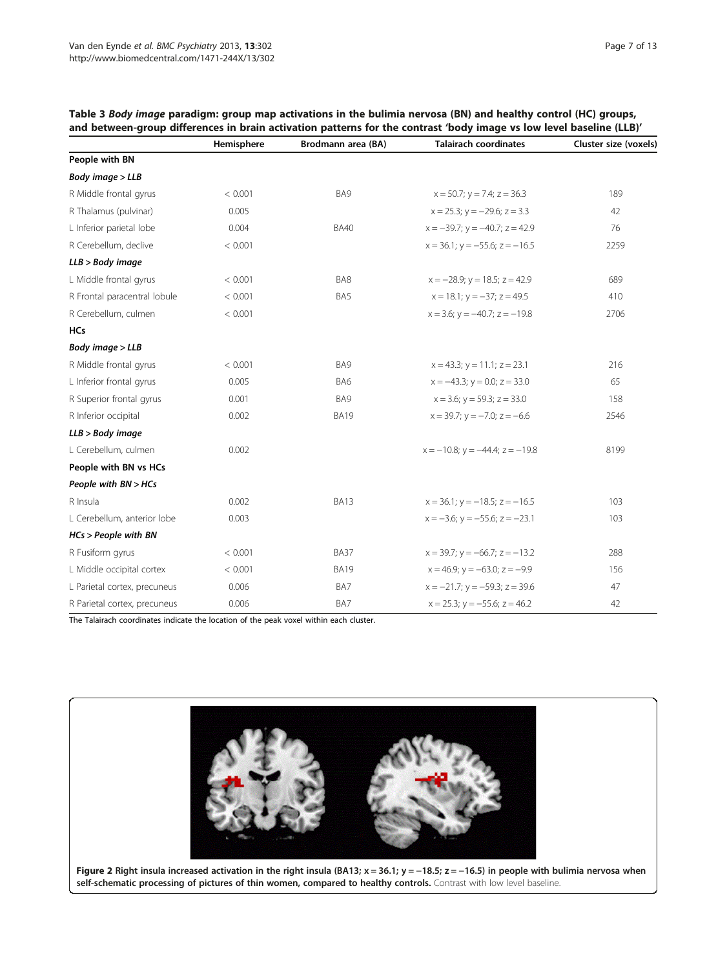|                              | Hemisphere | Brodmann area (BA) | <b>Talairach coordinates</b>            | Cluster size (voxels) |
|------------------------------|------------|--------------------|-----------------------------------------|-----------------------|
| People with BN               |            |                    |                                         |                       |
| Body image > LLB             |            |                    |                                         |                       |
| R Middle frontal gyrus       | < 0.001    | BA9                | $x = 50.7$ ; $y = 7.4$ ; $z = 36.3$     | 189                   |
| R Thalamus (pulvinar)        | 0.005      |                    | $x = 25.3$ ; $y = -29.6$ ; $z = 3.3$    | 42                    |
| L Inferior parietal lobe     | 0.004      | <b>BA40</b>        | $x = -39.7$ ; $y = -40.7$ ; $z = 42.9$  | 76                    |
| R Cerebellum, declive        | < 0.001    |                    | $x = 36.1$ ; $y = -55.6$ ; $z = -16.5$  | 2259                  |
| LLB > Body image             |            |                    |                                         |                       |
| L Middle frontal gyrus       | < 0.001    | BA8                | $x = -28.9$ ; $y = 18.5$ ; $z = 42.9$   | 689                   |
| R Frontal paracentral lobule | < 0.001    | BA5                | $x = 18.1$ ; $y = -37$ ; $z = 49.5$     | 410                   |
| R Cerebellum, culmen         | < 0.001    |                    | $x = 3.6$ ; $y = -40.7$ ; $z = -19.8$   | 2706                  |
| <b>HCs</b>                   |            |                    |                                         |                       |
| Body image > LLB             |            |                    |                                         |                       |
| R Middle frontal gyrus       | < 0.001    | BA9                | $x = 43.3$ ; $y = 11.1$ ; $z = 23.1$    | 216                   |
| L Inferior frontal gyrus     | 0.005      | BA6                | $x = -43.3$ ; $y = 0.0$ ; $z = 33.0$    | 65                    |
| R Superior frontal gyrus     | 0.001      | BA9                | $x = 3.6$ ; $y = 59.3$ ; $z = 33.0$     | 158                   |
| R Inferior occipital         | 0.002      | <b>BA19</b>        | $x = 39.7$ ; $y = -7.0$ ; $z = -6.6$    | 2546                  |
| $LLB > Body \ image$         |            |                    |                                         |                       |
| L Cerebellum, culmen         | 0.002      |                    | $x = -10.8$ ; $y = -44.4$ ; $z = -19.8$ | 8199                  |
| People with BN vs HCs        |            |                    |                                         |                       |
| People with BN > HCs         |            |                    |                                         |                       |
| R Insula                     | 0.002      | BA13               | $x = 36.1$ ; $y = -18.5$ ; $z = -16.5$  | 103                   |
| L Cerebellum, anterior lobe  | 0.003      |                    | $x = -3.6$ ; $y = -55.6$ ; $z = -23.1$  | 103                   |
| HCs > People with BN         |            |                    |                                         |                       |
| R Fusiform gyrus             | < 0.001    | <b>BA37</b>        | $x = 39.7$ ; $y = -66.7$ ; $z = -13.2$  | 288                   |
| L Middle occipital cortex    | < 0.001    | <b>BA19</b>        | $x = 46.9$ ; $y = -63.0$ ; $z = -9.9$   | 156                   |
| L Parietal cortex, precuneus | 0.006      | BA7                | $x = -21.7$ ; $y = -59.3$ ; $z = 39.6$  | 47                    |
| R Parietal cortex, precuneus | 0.006      | BA7                | $x = 25.3$ ; $y = -55.6$ ; $z = 46.2$   | 42                    |

<span id="page-6-0"></span>Table 3 Body image paradigm: group map activations in the bulimia nervosa (BN) and healthy control (HC) groups, and between-group differences in brain activation patterns for the contrast 'body image vs low level baseline (LLB)'

The Talairach coordinates indicate the location of the peak voxel within each cluster.

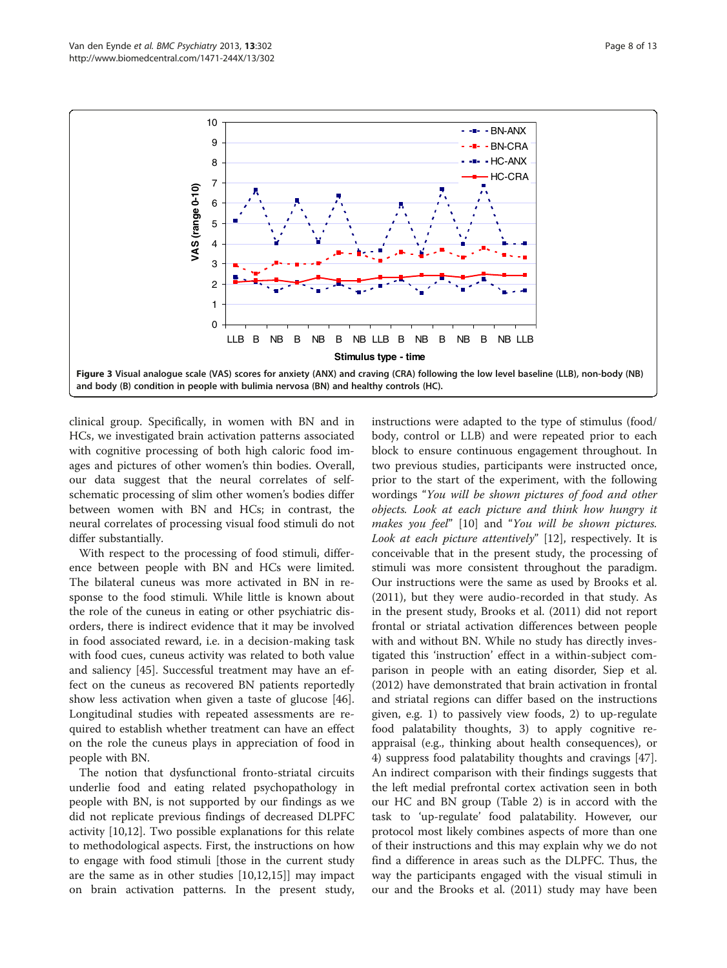<span id="page-7-0"></span>

clinical group. Specifically, in women with BN and in HCs, we investigated brain activation patterns associated with cognitive processing of both high caloric food images and pictures of other women's thin bodies. Overall, our data suggest that the neural correlates of selfschematic processing of slim other women's bodies differ between women with BN and HCs; in contrast, the neural correlates of processing visual food stimuli do not differ substantially.

With respect to the processing of food stimuli, difference between people with BN and HCs were limited. The bilateral cuneus was more activated in BN in response to the food stimuli. While little is known about the role of the cuneus in eating or other psychiatric disorders, there is indirect evidence that it may be involved in food associated reward, i.e. in a decision-making task with food cues, cuneus activity was related to both value and saliency [\[45](#page-12-0)]. Successful treatment may have an effect on the cuneus as recovered BN patients reportedly show less activation when given a taste of glucose [\[46](#page-12-0)]. Longitudinal studies with repeated assessments are required to establish whether treatment can have an effect on the role the cuneus plays in appreciation of food in people with BN.

The notion that dysfunctional fronto-striatal circuits underlie food and eating related psychopathology in people with BN, is not supported by our findings as we did not replicate previous findings of decreased DLPFC activity [\[10,12](#page-11-0)]. Two possible explanations for this relate to methodological aspects. First, the instructions on how to engage with food stimuli [those in the current study are the same as in other studies [\[10,12,15\]](#page-11-0)] may impact on brain activation patterns. In the present study, instructions were adapted to the type of stimulus (food/ body, control or LLB) and were repeated prior to each block to ensure continuous engagement throughout. In two previous studies, participants were instructed once, prior to the start of the experiment, with the following wordings "You will be shown pictures of food and other objects. Look at each picture and think how hungry it makes you feel" [\[10\]](#page-11-0) and "You will be shown pictures. Look at each picture attentively" [[12\]](#page-11-0), respectively. It is conceivable that in the present study, the processing of stimuli was more consistent throughout the paradigm. Our instructions were the same as used by Brooks et al. (2011), but they were audio-recorded in that study. As in the present study, Brooks et al. (2011) did not report frontal or striatal activation differences between people with and without BN. While no study has directly investigated this 'instruction' effect in a within-subject comparison in people with an eating disorder, Siep et al. (2012) have demonstrated that brain activation in frontal and striatal regions can differ based on the instructions given, e.g. 1) to passively view foods, 2) to up-regulate food palatability thoughts, 3) to apply cognitive reappraisal (e.g., thinking about health consequences), or 4) suppress food palatability thoughts and cravings [\[47](#page-12-0)]. An indirect comparison with their findings suggests that the left medial prefrontal cortex activation seen in both our HC and BN group (Table [2\)](#page-5-0) is in accord with the task to 'up-regulate' food palatability. However, our protocol most likely combines aspects of more than one of their instructions and this may explain why we do not find a difference in areas such as the DLPFC. Thus, the way the participants engaged with the visual stimuli in our and the Brooks et al. (2011) study may have been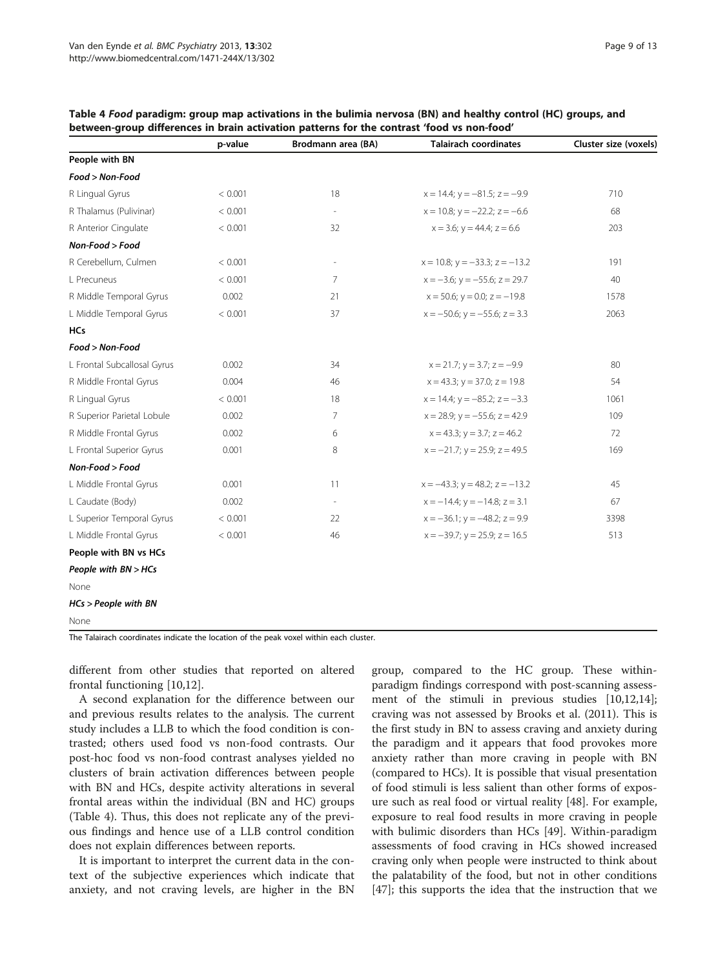|                             | p-value | Brodmann area (BA)       | <b>Talairach coordinates</b>           | Cluster size (voxels) |
|-----------------------------|---------|--------------------------|----------------------------------------|-----------------------|
| People with BN              |         |                          |                                        |                       |
| Food > Non-Food             |         |                          |                                        |                       |
| R Lingual Gyrus             | < 0.001 | 18                       | $x = 14.4$ ; $y = -81.5$ ; $z = -9.9$  | 710                   |
| R Thalamus (Pulivinar)      | < 0.001 | $\overline{\phantom{a}}$ | $x = 10.8$ ; $y = -22.2$ ; $z = -6.6$  | 68                    |
| R Anterior Cingulate        | < 0.001 | 32                       | $x = 3.6$ ; $y = 44.4$ ; $z = 6.6$     | 203                   |
| Non-Food > Food             |         |                          |                                        |                       |
| R Cerebellum, Culmen        | < 0.001 | $\overline{a}$           | $x = 10.8$ ; $y = -33.3$ ; $z = -13.2$ | 191                   |
| L Precuneus                 | < 0.001 | $\overline{7}$           | $x = -3.6$ ; $y = -55.6$ ; $z = 29.7$  | 40                    |
| R Middle Temporal Gyrus     | 0.002   | 21                       | $x = 50.6$ ; $y = 0.0$ ; $z = -19.8$   | 1578                  |
| L Middle Temporal Gyrus     | < 0.001 | 37                       | $x = -50.6$ ; $y = -55.6$ ; $z = 3.3$  | 2063                  |
| <b>HCs</b>                  |         |                          |                                        |                       |
| Food > Non-Food             |         |                          |                                        |                       |
| L Frontal Subcallosal Gyrus | 0.002   | 34                       | $x = 21.7$ ; $y = 3.7$ ; $z = -9.9$    | 80                    |
| R Middle Frontal Gyrus      | 0.004   | 46                       | $x = 43.3$ ; $y = 37.0$ ; $z = 19.8$   | 54                    |
| R Lingual Gyrus             | < 0.001 | 18                       | $x = 14.4$ ; $y = -85.2$ ; $z = -3.3$  | 1061                  |
| R Superior Parietal Lobule  | 0.002   | 7                        | $x = 28.9$ ; $y = -55.6$ ; $z = 42.9$  | 109                   |
| R Middle Frontal Gyrus      | 0.002   | 6                        | $x = 43.3$ ; $y = 3.7$ ; $z = 46.2$    | 72                    |
| L Frontal Superior Gyrus    | 0.001   | 8                        | $x = -21.7$ ; $y = 25.9$ ; $z = 49.5$  | 169                   |
| Non-Food > Food             |         |                          |                                        |                       |
| L Middle Frontal Gyrus      | 0.001   | 11                       | $x = -43.3$ ; $y = 48.2$ ; $z = -13.2$ | 45                    |
| L Caudate (Body)            | 0.002   | $\overline{\phantom{a}}$ | $x = -14.4$ ; $y = -14.8$ ; $z = 3.1$  | 67                    |
| L Superior Temporal Gyrus   | < 0.001 | 22                       | $x = -36.1$ ; $y = -48.2$ ; $z = 9.9$  | 3398                  |
| L Middle Frontal Gyrus      | < 0.001 | 46                       | $x = -39.7$ ; $y = 25.9$ ; $z = 16.5$  | 513                   |
| People with BN vs HCs       |         |                          |                                        |                       |
| People with BN > HCs        |         |                          |                                        |                       |
| None                        |         |                          |                                        |                       |
| HCs > People with BN        |         |                          |                                        |                       |
| None                        |         |                          |                                        |                       |

<span id="page-8-0"></span>Table 4 Food paradigm: group map activations in the bulimia nervosa (BN) and healthy control (HC) groups, and between-group differences in brain activation patterns for the contrast 'food vs non-food'

The Talairach coordinates indicate the location of the peak voxel within each cluster.

different from other studies that reported on altered frontal functioning [[10,12\]](#page-11-0).

A second explanation for the difference between our and previous results relates to the analysis. The current study includes a LLB to which the food condition is contrasted; others used food vs non-food contrasts. Our post-hoc food vs non-food contrast analyses yielded no clusters of brain activation differences between people with BN and HCs, despite activity alterations in several frontal areas within the individual (BN and HC) groups (Table 4). Thus, this does not replicate any of the previous findings and hence use of a LLB control condition does not explain differences between reports.

It is important to interpret the current data in the context of the subjective experiences which indicate that anxiety, and not craving levels, are higher in the BN

group, compared to the HC group. These withinparadigm findings correspond with post-scanning assessment of the stimuli in previous studies [[10,12,14](#page-11-0)]; craving was not assessed by Brooks et al. (2011). This is the first study in BN to assess craving and anxiety during the paradigm and it appears that food provokes more anxiety rather than more craving in people with BN (compared to HCs). It is possible that visual presentation of food stimuli is less salient than other forms of exposure such as real food or virtual reality [\[48\]](#page-12-0). For example, exposure to real food results in more craving in people with bulimic disorders than HCs [[49\]](#page-12-0). Within-paradigm assessments of food craving in HCs showed increased craving only when people were instructed to think about the palatability of the food, but not in other conditions [[47\]](#page-12-0); this supports the idea that the instruction that we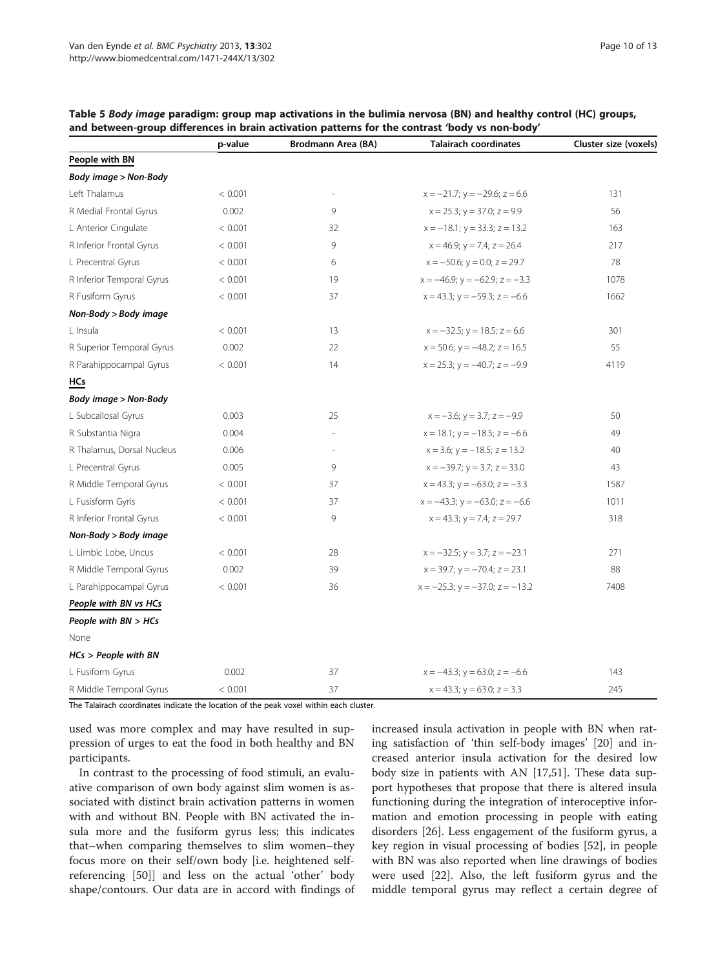|                                 | p-value | Brodmann Area (BA)       | <b>Talairach coordinates</b>            | Cluster size (voxels) |
|---------------------------------|---------|--------------------------|-----------------------------------------|-----------------------|
| People with BN                  |         |                          |                                         |                       |
| <b>Body image &gt; Non-Body</b> |         |                          |                                         |                       |
| Left Thalamus                   | < 0.001 | $\overline{\phantom{a}}$ | $x = -21.7$ ; $y = -29.6$ ; $z = 6.6$   | 131                   |
| R Medial Frontal Gyrus          | 0.002   | 9                        | $x = 25.3$ ; $y = 37.0$ ; $z = 9.9$     | 56                    |
| L Anterior Cingulate            | < 0.001 | 32                       | $x = -18.1$ ; $y = 33.3$ ; $z = 13.2$   | 163                   |
| R Inferior Frontal Gyrus        | < 0.001 | 9                        | $x = 46.9$ ; $y = 7.4$ ; $z = 26.4$     | 217                   |
| L Precentral Gyrus              | < 0.001 | 6                        | $x = -50.6$ ; $y = 0.0$ ; $z = 29.7$    | 78                    |
| R Inferior Temporal Gyrus       | < 0.001 | 19                       | $x = -46.9$ ; $y = -62.9$ ; $z = -3.3$  | 1078                  |
| R Fusiform Gyrus                | < 0.001 | 37                       | $x = 43.3$ ; $y = -59.3$ ; $z = -6.6$   | 1662                  |
| Non-Body > Body image           |         |                          |                                         |                       |
| L Insula                        | < 0.001 | 13                       | $x = -32.5$ ; $y = 18.5$ ; $z = 6.6$    | 301                   |
| R Superior Temporal Gyrus       | 0.002   | 22                       | $x = 50.6$ ; $y = -48.2$ ; $z = 16.5$   | 55                    |
| R Parahippocampal Gyrus         | < 0.001 | 14                       | $x = 25.3$ ; $y = -40.7$ ; $z = -9.9$   | 4119                  |
| HCs                             |         |                          |                                         |                       |
| Body image > Non-Body           |         |                          |                                         |                       |
| L Subcallosal Gyrus             | 0.003   | 25                       | $x = -3.6$ ; $y = 3.7$ ; $z = -9.9$     | 50                    |
| R Substantia Nigra              | 0.004   |                          | $x = 18.1$ ; $y = -18.5$ ; $z = -6.6$   | 49                    |
| R Thalamus, Dorsal Nucleus      | 0.006   | ٠                        | $x = 3.6$ ; $y = -18.5$ ; $z = 13.2$    | 40                    |
| L Precentral Gyrus              | 0.005   | 9                        | $x = -39.7$ ; $y = 3.7$ ; $z = 33.0$    | 43                    |
| R Middle Temporal Gyrus         | < 0.001 | 37                       | $x = 43.3$ ; $y = -63.0$ ; $z = -3.3$   | 1587                  |
| L Fusisform Gyris               | < 0.001 | 37                       | $x = -43.3$ ; $y = -63.0$ ; $z = -6.6$  | 1011                  |
| R Inferior Frontal Gyrus        | < 0.001 | 9                        | $x = 43.3$ ; $y = 7.4$ ; $z = 29.7$     | 318                   |
| Non-Body > Body image           |         |                          |                                         |                       |
| L Limbic Lobe, Uncus            | < 0.001 | 28                       | $x = -32.5$ ; $y = 3.7$ ; $z = -23.1$   | 271                   |
| R Middle Temporal Gyrus         | 0.002   | 39                       | $x = 39.7$ ; $y = -70.4$ ; $z = 23.1$   | 88                    |
| L Parahippocampal Gyrus         | < 0.001 | 36                       | $x = -25.3$ ; $y = -37.0$ ; $z = -13.2$ | 7408                  |
| People with BN vs HCs           |         |                          |                                         |                       |
| People with BN > HCs            |         |                          |                                         |                       |
| None                            |         |                          |                                         |                       |
| $HCs > People$ with BN          |         |                          |                                         |                       |
| L Fusiform Gyrus                | 0.002   | 37                       | $x = -43.3$ ; $y = 63.0$ ; $z = -6.6$   | 143                   |
| R Middle Temporal Gyrus         | < 0.001 | 37                       | $x = 43.3$ ; $y = 63.0$ ; $z = 3.3$     | 245                   |

<span id="page-9-0"></span>Table 5 Body image paradigm: group map activations in the bulimia nervosa (BN) and healthy control (HC) groups, and between-group differences in brain activation patterns for the contrast 'body vs non-body'

The Talairach coordinates indicate the location of the peak voxel within each cluster.

used was more complex and may have resulted in suppression of urges to eat the food in both healthy and BN participants.

In contrast to the processing of food stimuli, an evaluative comparison of own body against slim women is associated with distinct brain activation patterns in women with and without BN. People with BN activated the insula more and the fusiform gyrus less; this indicates that–when comparing themselves to slim women–they focus more on their self/own body [i.e. heightened selfreferencing [\[50](#page-12-0)]] and less on the actual 'other' body shape/contours. Our data are in accord with findings of

increased insula activation in people with BN when rating satisfaction of 'thin self-body images' [\[20](#page-11-0)] and increased anterior insula activation for the desired low body size in patients with AN [[17,](#page-11-0)[51](#page-12-0)]. These data support hypotheses that propose that there is altered insula functioning during the integration of interoceptive information and emotion processing in people with eating disorders [[26\]](#page-11-0). Less engagement of the fusiform gyrus, a key region in visual processing of bodies [\[52](#page-12-0)], in people with BN was also reported when line drawings of bodies were used [\[22](#page-11-0)]. Also, the left fusiform gyrus and the middle temporal gyrus may reflect a certain degree of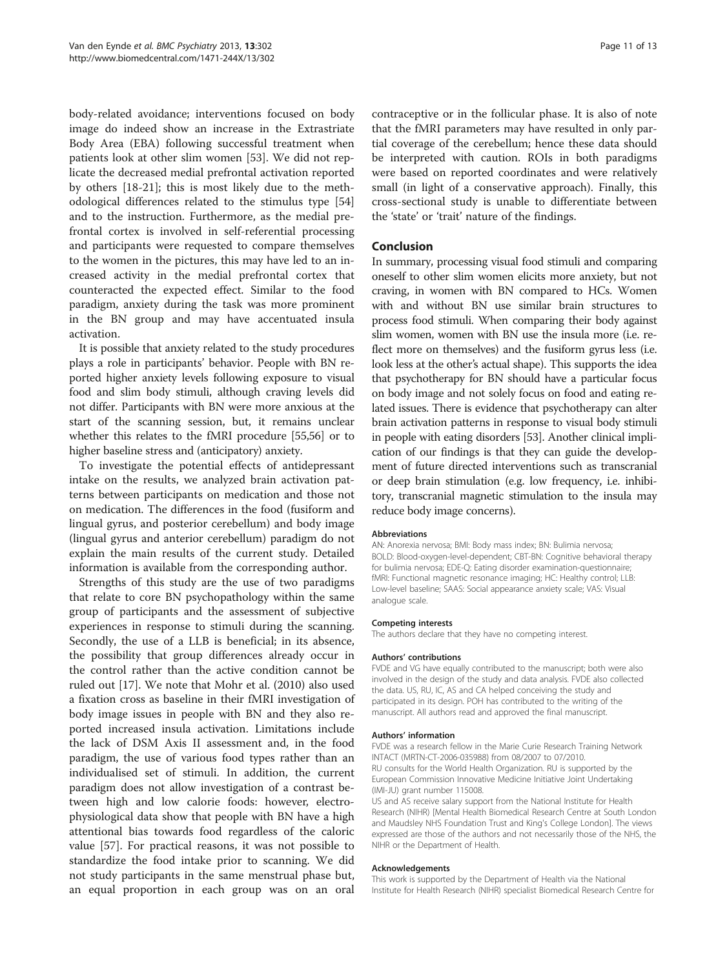body-related avoidance; interventions focused on body image do indeed show an increase in the Extrastriate Body Area (EBA) following successful treatment when patients look at other slim women [[53\]](#page-12-0). We did not replicate the decreased medial prefrontal activation reported by others [[18](#page-11-0)-[21\]](#page-11-0); this is most likely due to the methodological differences related to the stimulus type [[54](#page-12-0)] and to the instruction. Furthermore, as the medial prefrontal cortex is involved in self-referential processing and participants were requested to compare themselves to the women in the pictures, this may have led to an increased activity in the medial prefrontal cortex that counteracted the expected effect. Similar to the food paradigm, anxiety during the task was more prominent in the BN group and may have accentuated insula activation.

It is possible that anxiety related to the study procedures plays a role in participants' behavior. People with BN reported higher anxiety levels following exposure to visual food and slim body stimuli, although craving levels did not differ. Participants with BN were more anxious at the start of the scanning session, but, it remains unclear whether this relates to the fMRI procedure [[55,56\]](#page-12-0) or to higher baseline stress and (anticipatory) anxiety.

To investigate the potential effects of antidepressant intake on the results, we analyzed brain activation patterns between participants on medication and those not on medication. The differences in the food (fusiform and lingual gyrus, and posterior cerebellum) and body image (lingual gyrus and anterior cerebellum) paradigm do not explain the main results of the current study. Detailed information is available from the corresponding author.

Strengths of this study are the use of two paradigms that relate to core BN psychopathology within the same group of participants and the assessment of subjective experiences in response to stimuli during the scanning. Secondly, the use of a LLB is beneficial; in its absence, the possibility that group differences already occur in the control rather than the active condition cannot be ruled out [\[17](#page-11-0)]. We note that Mohr et al. (2010) also used a fixation cross as baseline in their fMRI investigation of body image issues in people with BN and they also reported increased insula activation. Limitations include the lack of DSM Axis II assessment and, in the food paradigm, the use of various food types rather than an individualised set of stimuli. In addition, the current paradigm does not allow investigation of a contrast between high and low calorie foods: however, electrophysiological data show that people with BN have a high attentional bias towards food regardless of the caloric value [\[57](#page-12-0)]. For practical reasons, it was not possible to standardize the food intake prior to scanning. We did not study participants in the same menstrual phase but, an equal proportion in each group was on an oral contraceptive or in the follicular phase. It is also of note that the fMRI parameters may have resulted in only partial coverage of the cerebellum; hence these data should be interpreted with caution. ROIs in both paradigms were based on reported coordinates and were relatively small (in light of a conservative approach). Finally, this cross-sectional study is unable to differentiate between the 'state' or 'trait' nature of the findings.

## Conclusion

In summary, processing visual food stimuli and comparing oneself to other slim women elicits more anxiety, but not craving, in women with BN compared to HCs. Women with and without BN use similar brain structures to process food stimuli. When comparing their body against slim women, women with BN use the insula more (i.e. reflect more on themselves) and the fusiform gyrus less (i.e. look less at the other's actual shape). This supports the idea that psychotherapy for BN should have a particular focus on body image and not solely focus on food and eating related issues. There is evidence that psychotherapy can alter brain activation patterns in response to visual body stimuli in people with eating disorders [[53](#page-12-0)]. Another clinical implication of our findings is that they can guide the development of future directed interventions such as transcranial or deep brain stimulation (e.g. low frequency, i.e. inhibitory, transcranial magnetic stimulation to the insula may reduce body image concerns).

#### Abbreviations

AN: Anorexia nervosa; BMI: Body mass index; BN: Bulimia nervosa; BOLD: Blood-oxygen-level-dependent; CBT-BN: Cognitive behavioral therapy for bulimia nervosa; EDE-Q: Eating disorder examination-questionnaire; fMRI: Functional magnetic resonance imaging; HC: Healthy control; LLB: Low-level baseline; SAAS: Social appearance anxiety scale; VAS: Visual analogue scale.

#### Competing interests

The authors declare that they have no competing interest.

#### Authors' contributions

FVDE and VG have equally contributed to the manuscript; both were also involved in the design of the study and data analysis. FVDE also collected the data. US, RU, IC, AS and CA helped conceiving the study and participated in its design. POH has contributed to the writing of the manuscript. All authors read and approved the final manuscript.

#### Authors' information

FVDE was a research fellow in the Marie Curie Research Training Network INTACT (MRTN-CT-2006-035988) from 08/2007 to 07/2010. RU consults for the World Health Organization. RU is supported by the European Commission Innovative Medicine Initiative Joint Undertaking (IMI-JU) grant number 115008.

US and AS receive salary support from the National Institute for Health Research (NIHR) [Mental Health Biomedical Research Centre at South London and Maudsley NHS Foundation Trust and King's College London]. The views expressed are those of the authors and not necessarily those of the NHS, the NIHR or the Department of Health.

#### Acknowledgements

This work is supported by the Department of Health via the National Institute for Health Research (NIHR) specialist Biomedical Research Centre for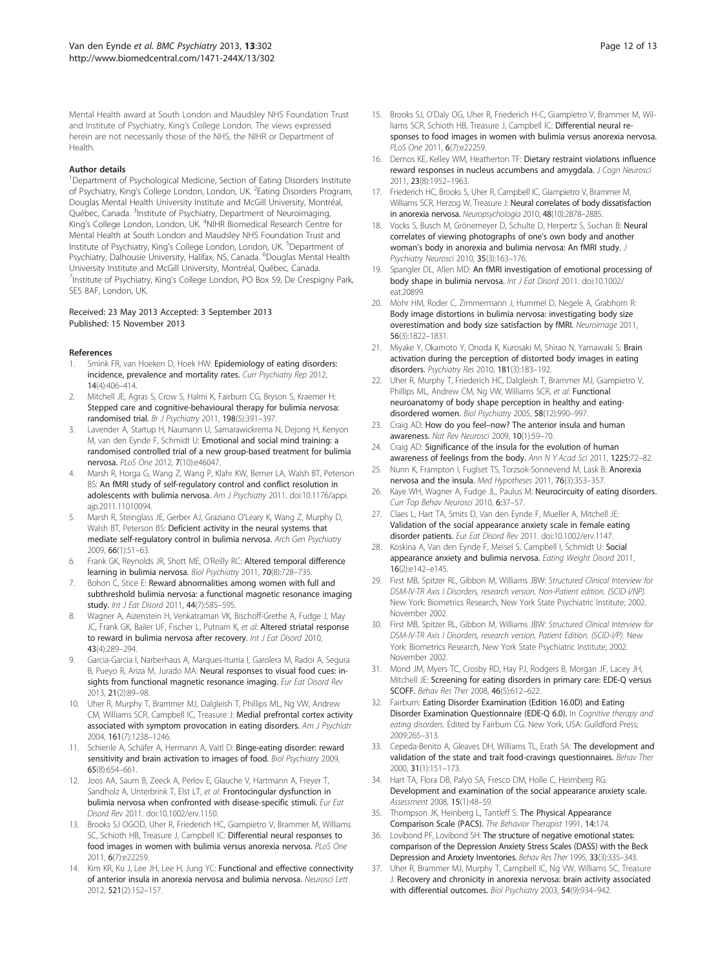<span id="page-11-0"></span>Mental Health award at South London and Maudsley NHS Foundation Trust and Institute of Psychiatry, King's College London. The views expressed herein are not necessarily those of the NHS, the NIHR or Department of Health.

#### Author details

<sup>1</sup>Department of Psychological Medicine, Section of Eating Disorders Institute of Psychiatry, King's College London, London, UK. <sup>2</sup>Eating Disorders Program, Douglas Mental Health University Institute and McGill University, Montréal, Québec, Canada. <sup>3</sup>Institute of Psychiatry, Department of Neuroimaging, King's College London, London, UK. <sup>4</sup>NIHR Biomedical Research Centre for Mental Health at South London and Maudsley NHS Foundation Trust and Institute of Psychiatry, King's College London, London, UK. <sup>5</sup>Department of Psychiatry, Dalhousie University, Halifax, NS, Canada. <sup>6</sup>Douglas Mental Health University Institute and McGill University, Montréal, Québec, Canada. <sup>7</sup>Institute of Psychiatry, King's College London, PO Box 59, De Crespigny Park, SE5 8AF, London, UK.

#### Received: 23 May 2013 Accepted: 3 September 2013 Published: 15 November 2013

#### References

- 1. Smink FR, van Hoeken D, Hoek HW: Epidemiology of eating disorders: incidence, prevalence and mortality rates. Curr Psychiatry Rep 2012, 14(4):406–414.
- 2. Mitchell JE, Agras S, Crow S, Halmi K, Fairburn CG, Bryson S, Kraemer H: Stepped care and cognitive-behavioural therapy for bulimia nervosa: randomised trial. Br J Psychiatry 2011, 198(5):391–397.
- 3. Lavender A, Startup H, Naumann U, Samarawickrema N, Dejong H, Kenyon M, van den Eynde F, Schmidt U: Emotional and social mind training: a randomised controlled trial of a new group-based treatment for bulimia nervosa. PLoS One 2012, 7(10):e46047.
- Marsh R, Horga G, Wang Z, Wang P, Klahr KW, Berner LA, Walsh BT, Peterson BS: An fMRI study of self-regulatory control and conflict resolution in adolescents with bulimia nervosa. Am J Psychiatry 2011. doi:10.1176/appi. ajp.2011.11010094.
- 5. Marsh R, Steinglass JE, Gerber AJ, Graziano O'Leary K, Wang Z, Murphy D, Walsh BT, Peterson BS: Deficient activity in the neural systems that mediate self-regulatory control in bulimia nervosa. Arch Gen Psychiatry 2009, 66(1):51–63.
- Frank GK, Reynolds JR, Shott ME, O'Reilly RC: Altered temporal difference learning in bulimia nervosa. Biol Psychiatry 2011, 70(8):728–735.
- 7. Bohon C, Stice E: Reward abnormalities among women with full and subthreshold bulimia nervosa: a functional magnetic resonance imaging study. Int J Eat Disord 2011, 44(7):585-595.
- Wagner A, Aizenstein H, Venkatraman VK, Bischoff-Grethe A, Fudge J, May JC, Frank GK, Bailer UF, Fischer L, Putnam K, et al: Altered striatal response to reward in bulimia nervosa after recovery. Int J Eat Disord 2010, 43(4):289–294.
- 9. Garcia-Garcia I, Narberhaus A, Marques-Iturria I, Garolera M, Radoi A, Segura B, Pueyo R, Ariza M, Jurado MA: Neural responses to visual food cues: insights from functional magnetic resonance imaging. Eur Eat Disord Rev 2013, 21(2):89–98.
- 10. Uher R, Murphy T, Brammer MJ, Dalgleish T, Phillips ML, Ng VW, Andrew CM, Williams SCR, Campbell IC, Treasure J: Medial prefrontal cortex activity associated with symptom provocation in eating disorders. Am J Psychiatr 2004, 161(7):1238–1246.
- 11. Schienle A, Schäfer A, Hermann A, Vaitl D: Binge-eating disorder: reward sensitivity and brain activation to images of food. Biol Psychiatry 2009, 65(8):654–661.
- 12. Joos AA, Saum B, Zeeck A, Perlov E, Glauche V, Hartmann A, Freyer T, Sandholz A, Unterbrink T, Elst LT, et al: Frontocingular dysfunction in bulimia nervosa when confronted with disease-specific stimuli. Eur Eat Disord Rev 2011. doi:10.1002/erv.1150.
- 13. Brooks SJ OGOD, Uher R, Friederich HC, Giampietro V, Brammer M, Williams SC, Schioth HB, Treasure J, Campbell IC: Differential neural responses to food images in women with bulimia versus anorexia nervosa. PLoS One 2011, 6(7):e22259.
- 14. Kim KR, Ku J, Lee JH, Lee H, Jung YC: Functional and effective connectivity of anterior insula in anorexia nervosa and bulimia nervosa. Neurosci Lett 2012, 521(2):152–157.
- 15. Brooks SJ, O'Daly OG, Uher R, Friederich H-C, Giampietro V, Brammer M, Williams SCR, Schioth HB, Treasure J, Campbell IC: Differential neural responses to food images in women with bulimia versus anorexia nervosa. PLoS One 2011, 6(7):e22259.
- 16. Demos KE, Kelley WM, Heatherton TF: Dietary restraint violations influence reward responses in nucleus accumbens and amygdala. J Cogn Neurosci 2011, 23(8):1952–1963.
- 17. Friederich HC, Brooks S, Uher R, Campbell IC, Giampietro V, Brammer M, Williams SCR, Herzog W, Treasure J: Neural correlates of body dissatisfaction in anorexia nervosa. Neuropsychologia 2010, 48(10):2878–2885.
- 18. Vocks S, Busch M, Grönemeyer D, Schulte D, Herpertz S, Suchan B: Neural correlates of viewing photographs of one's own body and another woman's body in anorexia and bulimia nervosa: An fMRI study. J Psychiatry Neurosci 2010, 35(3):163–176.
- 19. Spangler DL, Allen MD: An fMRI investigation of emotional processing of body shape in bulimia nervosa. Int J Eat Disord 2011. doi:10.1002/ eat.20899.
- 20. Mohr HM, Roder C, Zimmermann J, Hummel D, Negele A, Grabhorn R: Body image distortions in bulimia nervosa: investigating body size overestimation and body size satisfaction by fMRI. Neuroimage 2011, 56(3):1822–1831.
- 21. Miyake Y, Okamoto Y, Onoda K, Kurosaki M, Shirao N, Yamawaki S: Brain activation during the perception of distorted body images in eating disorders. Psychiatry Res 2010, 181(3):183–192.
- 22. Uher R, Murphy T, Friederich HC, Dalgleish T, Brammer MJ, Giampietro V, Phillips ML, Andrew CM, Ng VW, Williams SCR, et al: Functional neuroanatomy of body shape perception in healthy and eatingdisordered women. Biol Psychiatry 2005, 58(12):990–997.
- 23. Craig AD: How do you feel–now? The anterior insula and human awareness. Nat Rev Neurosci 2009, 10(1):59–70.
- 24. Craig AD: Significance of the insula for the evolution of human awareness of feelings from the body. Ann N Y Acad Sci 2011, 1225:72–82.
- 25. Nunn K, Frampton I, Fuglset TS, Torzsok-Sonnevend M, Lask B: Anorexia nervosa and the insula. Med Hypotheses 2011, 76(3):353–357.
- 26. Kaye WH, Wagner A, Fudge JL, Paulus M: Neurocircuity of eating disorders. Curr Top Behav Neurosci 2010, 6:37-57.
- 27. Claes L, Hart TA, Smits D, Van den Eynde F, Mueller A, Mitchell JE: Validation of the social appearance anxiety scale in female eating disorder patients. Eur Eat Disord Rev 2011. doi:10.1002/erv.1147.
- 28. Koskina A, Van den Eynde F, Meisel S, Campbell I, Schmidt U: Social appearance anxiety and bulimia nervosa. Eating Weight Disord 2011, 16(2):e142–e145.
- 29. First MB, Spitzer RL, Gibbon M, Williams JBW: Structured Clinical Interview for DSM-IV-TR Axis I Disorders, research version, Non-Patient edition. (SCID-I/NP). New York: Biometrics Research, New York State Psychiatric Institute; 2002. November 2002.
- 30. First MB, Spitzer RL, Gibbon M, Williams JBW: Structured Clinical Interview for DSM-IV-TR Axis I Disorders, research version, Patient Edition. (SCID-I/P). New York: Biometrics Research, New York State Psychiatric Institute; 2002. November 2002.
- 31. Mond JM, Myers TC, Crosby RD, Hay PJ, Rodgers B, Morgan JF, Lacey JH, Mitchell JE: Screening for eating disorders in primary care: EDE-Q versus SCOFF. Behav Res Ther 2008, 46(5):612–622.
- 32. Fairburn: Eating Disorder Examination (Edition 16.0D) and Eating Disorder Examination Questionnaire (EDE-Q 6.0). In Cognitive therapy and eating disorders. Edited by Fairburn CG. New York, USA: Guildford Press; 2009:265–313.
- 33. Cepeda-Benito A, Gleaves DH, Williams TL, Erath SA: The development and validation of the state and trait food-cravings questionnaires. Behav Ther 2000, 31(1):151–173.
- 34. Hart TA, Flora DB, Palyo SA, Fresco DM, Holle C, Heimberg RG: Development and examination of the social appearance anxiety scale. Assessment 2008, 15(1):48–59.
- 35. Thompson JK, Heinberg L, Tantleff S: The Physical Appearance Comparison Scale (PACS). The Behavior Therapist 1991, 14:174.
- 36. Lovibond PF, Lovibond SH: The structure of negative emotional states: comparison of the Depression Anxiety Stress Scales (DASS) with the Beck Depression and Anxiety Inventories. Behav Res Ther 1995, 33(3):335–343.
- 37. Uher R, Brammer MJ, Murphy T, Campbell IC, Ng VW, Williams SC, Treasure J: Recovery and chronicity in anorexia nervosa: brain activity associated with differential outcomes. Biol Psychiatry 2003, 54(9):934–942.